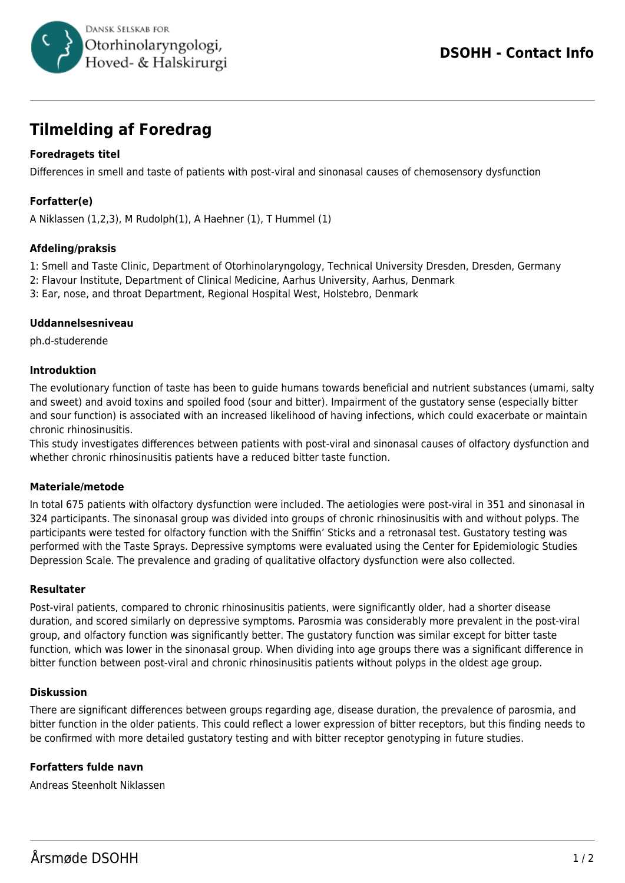

# **Tilmelding af Foredrag**

# **Foredragets titel**

Differences in smell and taste of patients with post-viral and sinonasal causes of chemosensory dysfunction

# **Forfatter(e)**

A Niklassen (1,2,3), M Rudolph(1), A Haehner (1), T Hummel (1)

## **Afdeling/praksis**

1: Smell and Taste Clinic, Department of Otorhinolaryngology, Technical University Dresden, Dresden, Germany

2: Flavour Institute, Department of Clinical Medicine, Aarhus University, Aarhus, Denmark

3: Ear, nose, and throat Department, Regional Hospital West, Holstebro, Denmark

## **Uddannelsesniveau**

ph.d-studerende

## **Introduktion**

The evolutionary function of taste has been to guide humans towards beneficial and nutrient substances (umami, salty and sweet) and avoid toxins and spoiled food (sour and bitter). Impairment of the gustatory sense (especially bitter and sour function) is associated with an increased likelihood of having infections, which could exacerbate or maintain chronic rhinosinusitis.

This study investigates differences between patients with post-viral and sinonasal causes of olfactory dysfunction and whether chronic rhinosinusitis patients have a reduced bitter taste function.

#### **Materiale/metode**

In total 675 patients with olfactory dysfunction were included. The aetiologies were post-viral in 351 and sinonasal in 324 participants. The sinonasal group was divided into groups of chronic rhinosinusitis with and without polyps. The participants were tested for olfactory function with the Sniffin' Sticks and a retronasal test. Gustatory testing was performed with the Taste Sprays. Depressive symptoms were evaluated using the Center for Epidemiologic Studies Depression Scale. The prevalence and grading of qualitative olfactory dysfunction were also collected.

#### **Resultater**

Post-viral patients, compared to chronic rhinosinusitis patients, were significantly older, had a shorter disease duration, and scored similarly on depressive symptoms. Parosmia was considerably more prevalent in the post-viral group, and olfactory function was significantly better. The gustatory function was similar except for bitter taste function, which was lower in the sinonasal group. When dividing into age groups there was a significant difference in bitter function between post-viral and chronic rhinosinusitis patients without polyps in the oldest age group.

#### **Diskussion**

There are significant differences between groups regarding age, disease duration, the prevalence of parosmia, and bitter function in the older patients. This could reflect a lower expression of bitter receptors, but this finding needs to be confirmed with more detailed gustatory testing and with bitter receptor genotyping in future studies.

## **Forfatters fulde navn**

Andreas Steenholt Niklassen